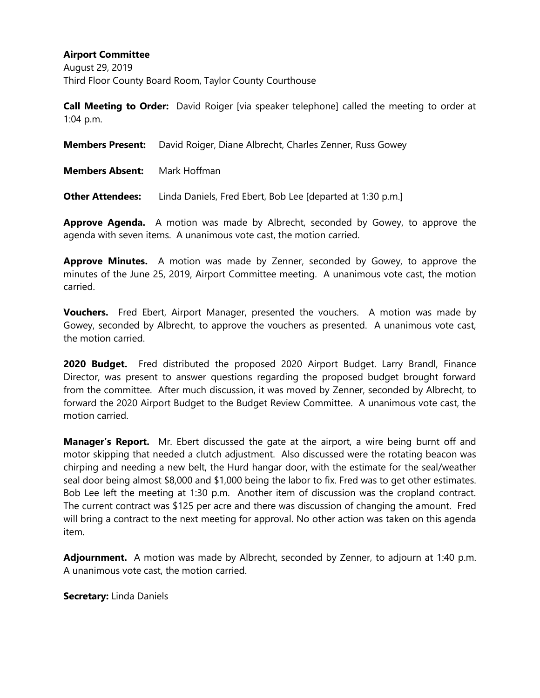August 29, 2019 Third Floor County Board Room, Taylor County Courthouse

**Call Meeting to Order:** David Roiger [via speaker telephone] called the meeting to order at 1:04 p.m.

|                         | <b>Members Present:</b> David Roiger, Diane Albrecht, Charles Zenner, Russ Gowey |  |  |
|-------------------------|----------------------------------------------------------------------------------|--|--|
| <b>Members Absent:</b>  | Mark Hoffman                                                                     |  |  |
| <b>Other Attendees:</b> | Linda Daniels, Fred Ebert, Bob Lee [departed at 1:30 p.m.]                       |  |  |

**Approve Agenda.** A motion was made by Albrecht, seconded by Gowey, to approve the agenda with seven items. A unanimous vote cast, the motion carried.

**Approve Minutes.** A motion was made by Zenner, seconded by Gowey, to approve the minutes of the June 25, 2019, Airport Committee meeting. A unanimous vote cast, the motion carried.

**Vouchers.** Fred Ebert, Airport Manager, presented the vouchers. A motion was made by Gowey, seconded by Albrecht, to approve the vouchers as presented. A unanimous vote cast, the motion carried.

**2020 Budget.** Fred distributed the proposed 2020 Airport Budget. Larry Brandl, Finance Director, was present to answer questions regarding the proposed budget brought forward from the committee. After much discussion, it was moved by Zenner, seconded by Albrecht, to forward the 2020 Airport Budget to the Budget Review Committee. A unanimous vote cast, the motion carried.

**Manager's Report.** Mr. Ebert discussed the gate at the airport, a wire being burnt off and motor skipping that needed a clutch adjustment. Also discussed were the rotating beacon was chirping and needing a new belt, the Hurd hangar door, with the estimate for the seal/weather seal door being almost \$8,000 and \$1,000 being the labor to fix. Fred was to get other estimates. Bob Lee left the meeting at 1:30 p.m. Another item of discussion was the cropland contract. The current contract was \$125 per acre and there was discussion of changing the amount. Fred will bring a contract to the next meeting for approval. No other action was taken on this agenda item.

**Adjournment.** A motion was made by Albrecht, seconded by Zenner, to adjourn at 1:40 p.m. A unanimous vote cast, the motion carried.

**Secretary:** Linda Daniels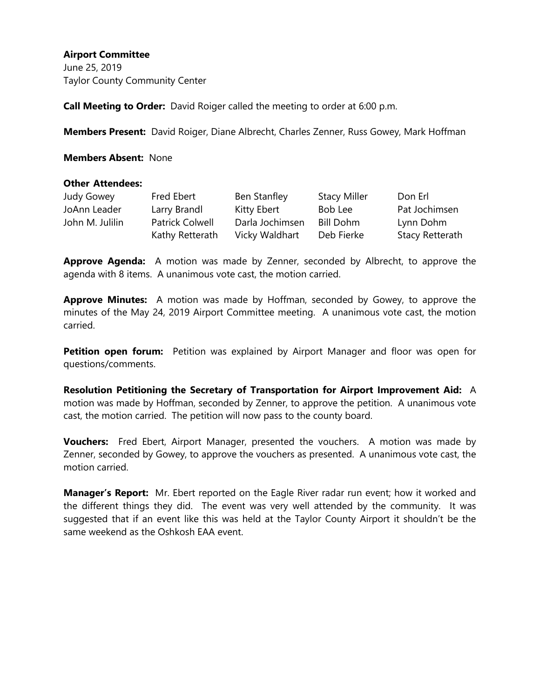June 25, 2019 Taylor County Community Center

**Call Meeting to Order:** David Roiger called the meeting to order at 6:00 p.m.

**Members Present:** David Roiger, Diane Albrecht, Charles Zenner, Russ Gowey, Mark Hoffman

**Members Absent:** None

#### **Other Attendees:**

| Judy Gowey      | Fred Ebert             | Ben Stanfley    | <b>Stacy Miller</b> | Don Erl         |
|-----------------|------------------------|-----------------|---------------------|-----------------|
| JoAnn Leader    | Larry Brandl           | Kitty Ebert     | Bob Lee             | Pat Jochimsen   |
| John M. Julilin | <b>Patrick Colwell</b> | Darla Jochimsen | Bill Dohm           | Lynn Dohm       |
|                 | Kathy Retterath        | Vicky Waldhart  | Deb Fierke          | Stacy Retterath |

**Approve Agenda:** A motion was made by Zenner, seconded by Albrecht, to approve the agenda with 8 items. A unanimous vote cast, the motion carried.

**Approve Minutes:** A motion was made by Hoffman, seconded by Gowey, to approve the minutes of the May 24, 2019 Airport Committee meeting. A unanimous vote cast, the motion carried.

**Petition open forum:** Petition was explained by Airport Manager and floor was open for questions/comments.

**Resolution Petitioning the Secretary of Transportation for Airport Improvement Aid:** A motion was made by Hoffman, seconded by Zenner, to approve the petition. A unanimous vote cast, the motion carried. The petition will now pass to the county board.

**Vouchers:** Fred Ebert, Airport Manager, presented the vouchers. A motion was made by Zenner, seconded by Gowey, to approve the vouchers as presented. A unanimous vote cast, the motion carried.

**Manager's Report:** Mr. Ebert reported on the Eagle River radar run event; how it worked and the different things they did. The event was very well attended by the community. It was suggested that if an event like this was held at the Taylor County Airport it shouldn't be the same weekend as the Oshkosh EAA event.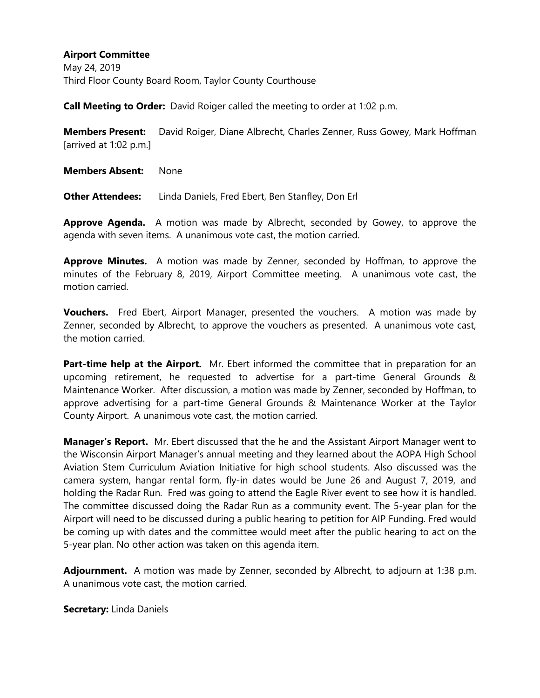May 24, 2019 Third Floor County Board Room, Taylor County Courthouse

**Call Meeting to Order:** David Roiger called the meeting to order at 1:02 p.m.

**Members Present:** David Roiger, Diane Albrecht, Charles Zenner, Russ Gowey, Mark Hoffman [arrived at 1:02 p.m.]

**Members Absent:** None

**Other Attendees:** Linda Daniels, Fred Ebert, Ben Stanfley, Don Erl

**Approve Agenda.** A motion was made by Albrecht, seconded by Gowey, to approve the agenda with seven items. A unanimous vote cast, the motion carried.

**Approve Minutes.** A motion was made by Zenner, seconded by Hoffman, to approve the minutes of the February 8, 2019, Airport Committee meeting. A unanimous vote cast, the motion carried.

**Vouchers.** Fred Ebert, Airport Manager, presented the vouchers. A motion was made by Zenner, seconded by Albrecht, to approve the vouchers as presented. A unanimous vote cast, the motion carried.

**Part-time help at the Airport.** Mr. Ebert informed the committee that in preparation for an upcoming retirement, he requested to advertise for a part-time General Grounds & Maintenance Worker. After discussion, a motion was made by Zenner, seconded by Hoffman, to approve advertising for a part-time General Grounds & Maintenance Worker at the Taylor County Airport. A unanimous vote cast, the motion carried.

**Manager's Report.** Mr. Ebert discussed that the he and the Assistant Airport Manager went to the Wisconsin Airport Manager's annual meeting and they learned about the AOPA High School Aviation Stem Curriculum Aviation Initiative for high school students. Also discussed was the camera system, hangar rental form, fly-in dates would be June 26 and August 7, 2019, and holding the Radar Run. Fred was going to attend the Eagle River event to see how it is handled. The committee discussed doing the Radar Run as a community event. The 5-year plan for the Airport will need to be discussed during a public hearing to petition for AIP Funding. Fred would be coming up with dates and the committee would meet after the public hearing to act on the 5-year plan. No other action was taken on this agenda item.

**Adjournment.** A motion was made by Zenner, seconded by Albrecht, to adjourn at 1:38 p.m. A unanimous vote cast, the motion carried.

**Secretary:** Linda Daniels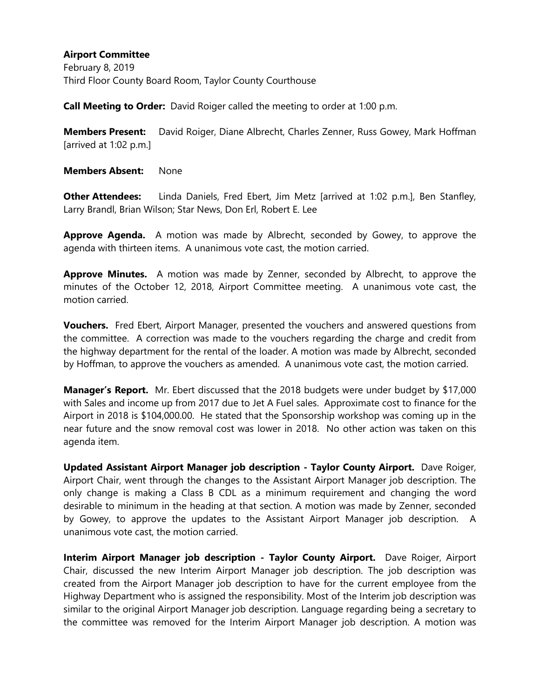February 8, 2019 Third Floor County Board Room, Taylor County Courthouse

**Call Meeting to Order:** David Roiger called the meeting to order at 1:00 p.m.

**Members Present:** David Roiger, Diane Albrecht, Charles Zenner, Russ Gowey, Mark Hoffman [arrived at 1:02 p.m.]

**Members Absent:** None

**Other Attendees:** Linda Daniels, Fred Ebert, Jim Metz [arrived at 1:02 p.m.], Ben Stanfley, Larry Brandl, Brian Wilson; Star News, Don Erl, Robert E. Lee

**Approve Agenda.** A motion was made by Albrecht, seconded by Gowey, to approve the agenda with thirteen items. A unanimous vote cast, the motion carried.

**Approve Minutes.** A motion was made by Zenner, seconded by Albrecht, to approve the minutes of the October 12, 2018, Airport Committee meeting. A unanimous vote cast, the motion carried.

**Vouchers.** Fred Ebert, Airport Manager, presented the vouchers and answered questions from the committee. A correction was made to the vouchers regarding the charge and credit from the highway department for the rental of the loader. A motion was made by Albrecht, seconded by Hoffman, to approve the vouchers as amended. A unanimous vote cast, the motion carried.

**Manager's Report.** Mr. Ebert discussed that the 2018 budgets were under budget by \$17,000 with Sales and income up from 2017 due to Jet A Fuel sales. Approximate cost to finance for the Airport in 2018 is \$104,000.00. He stated that the Sponsorship workshop was coming up in the near future and the snow removal cost was lower in 2018. No other action was taken on this agenda item.

**Updated Assistant Airport Manager job description - Taylor County Airport.** Dave Roiger, Airport Chair, went through the changes to the Assistant Airport Manager job description. The only change is making a Class B CDL as a minimum requirement and changing the word desirable to minimum in the heading at that section. A motion was made by Zenner, seconded by Gowey, to approve the updates to the Assistant Airport Manager job description. A unanimous vote cast, the motion carried.

**Interim Airport Manager job description - Taylor County Airport.** Dave Roiger, Airport Chair, discussed the new Interim Airport Manager job description. The job description was created from the Airport Manager job description to have for the current employee from the Highway Department who is assigned the responsibility. Most of the Interim job description was similar to the original Airport Manager job description. Language regarding being a secretary to the committee was removed for the Interim Airport Manager job description. A motion was